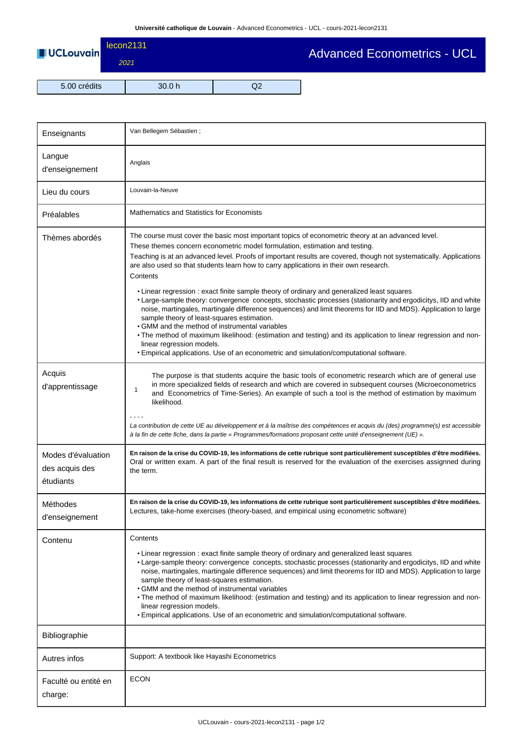| <b>UCLouvain</b> | lecon2131<br>2021 |        | <b>Advanced Econometrics - UCL</b> |  |
|------------------|-------------------|--------|------------------------------------|--|
| 5.00 crédits     |                   | 30.0 h |                                    |  |

 $\overline{\phantom{a}}$ 

| Enseignants                                       | Van Bellegem Sébastien;                                                                                                                                                                                                                                                                                                                                                                                                                                                                                                                                                                                                                                                                                                                                                                                                                                                                                                                                                                                                                                                                |  |  |  |
|---------------------------------------------------|----------------------------------------------------------------------------------------------------------------------------------------------------------------------------------------------------------------------------------------------------------------------------------------------------------------------------------------------------------------------------------------------------------------------------------------------------------------------------------------------------------------------------------------------------------------------------------------------------------------------------------------------------------------------------------------------------------------------------------------------------------------------------------------------------------------------------------------------------------------------------------------------------------------------------------------------------------------------------------------------------------------------------------------------------------------------------------------|--|--|--|
| Langue<br>d'enseignement                          | Anglais                                                                                                                                                                                                                                                                                                                                                                                                                                                                                                                                                                                                                                                                                                                                                                                                                                                                                                                                                                                                                                                                                |  |  |  |
| Lieu du cours                                     | Louvain-la-Neuve                                                                                                                                                                                                                                                                                                                                                                                                                                                                                                                                                                                                                                                                                                                                                                                                                                                                                                                                                                                                                                                                       |  |  |  |
| Préalables                                        | Mathematics and Statistics for Economists                                                                                                                                                                                                                                                                                                                                                                                                                                                                                                                                                                                                                                                                                                                                                                                                                                                                                                                                                                                                                                              |  |  |  |
| Thèmes abordés                                    | The course must cover the basic most important topics of econometric theory at an advanced level.<br>These themes concern econometric model formulation, estimation and testing.<br>Teaching is at an advanced level. Proofs of important results are covered, though not systematically. Applications<br>are also used so that students learn how to carry applications in their own research.<br>Contents<br>• Linear regression : exact finite sample theory of ordinary and generalized least squares<br>• Large-sample theory: convergence concepts, stochastic processes (stationarity and ergodicitys, IID and white<br>noise, martingales, martingale difference sequences) and limit theorems for IID and MDS). Application to large<br>sample theory of least-squares estimation.<br>• GMM and the method of instrumental variables<br>. The method of maximum likelihood: (estimation and testing) and its application to linear regression and non-<br>linear regression models.<br>. Empirical applications. Use of an econometric and simulation/computational software. |  |  |  |
| Acquis<br>d'apprentissage                         | The purpose is that students acquire the basic tools of econometric research which are of general use<br>in more specialized fields of research and which are covered in subsequent courses (Microeconometrics<br>$\mathbf{1}$<br>and Econometrics of Time-Series). An example of such a tool is the method of estimation by maximum<br>likelihood.<br>La contribution de cette UE au développement et à la maîtrise des compétences et acquis du (des) programme(s) est accessible<br>à la fin de cette fiche, dans la partie « Programmes/formations proposant cette unité d'enseignement (UE) ».                                                                                                                                                                                                                                                                                                                                                                                                                                                                                    |  |  |  |
| Modes d'évaluation<br>des acquis des<br>étudiants | En raison de la crise du COVID-19, les informations de cette rubrique sont particulièrement susceptibles d'être modifiées.<br>Oral or written exam. A part of the final result is reserved for the evaluation of the exercises assignned during<br>the term.                                                                                                                                                                                                                                                                                                                                                                                                                                                                                                                                                                                                                                                                                                                                                                                                                           |  |  |  |
| Méthodes<br>d'enseignement                        | En raison de la crise du COVID-19, les informations de cette rubrique sont particulièrement susceptibles d'être modifiées.<br>Lectures, take-home exercises (theory-based, and empirical using econometric software)                                                                                                                                                                                                                                                                                                                                                                                                                                                                                                                                                                                                                                                                                                                                                                                                                                                                   |  |  |  |
| Contenu                                           | Contents<br>• Linear regression : exact finite sample theory of ordinary and generalized least squares<br>• Large-sample theory: convergence concepts, stochastic processes (stationarity and ergodicitys, IID and white<br>noise, martingales, martingale difference sequences) and limit theorems for IID and MDS). Application to large<br>sample theory of least-squares estimation.<br>• GMM and the method of instrumental variables<br>. The method of maximum likelihood: (estimation and testing) and its application to linear regression and non-<br>linear regression models.<br>. Empirical applications. Use of an econometric and simulation/computational software.                                                                                                                                                                                                                                                                                                                                                                                                    |  |  |  |
| Bibliographie                                     |                                                                                                                                                                                                                                                                                                                                                                                                                                                                                                                                                                                                                                                                                                                                                                                                                                                                                                                                                                                                                                                                                        |  |  |  |
| Autres infos                                      | Support: A textbook like Hayashi Econometrics                                                                                                                                                                                                                                                                                                                                                                                                                                                                                                                                                                                                                                                                                                                                                                                                                                                                                                                                                                                                                                          |  |  |  |
| Faculté ou entité en<br>charge:                   | <b>ECON</b>                                                                                                                                                                                                                                                                                                                                                                                                                                                                                                                                                                                                                                                                                                                                                                                                                                                                                                                                                                                                                                                                            |  |  |  |